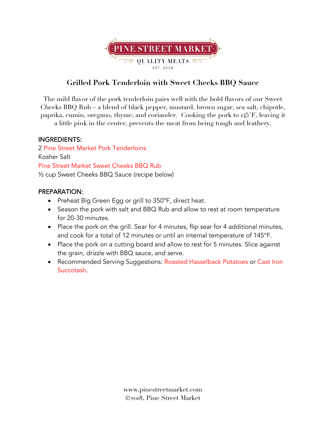

# **Grilled Pork Tenderloin with Sweet Cheeks BBQ Sauce**

The mild flavor of the pork tenderloin pairs well with the bold flavors of our Sweet Cheeks BBQ Rub – a blend of black pepper, mustard, brown sugar, sea salt, chipotle, paprika, cumin, oregano, thyme, and coriander. Cooking the pork to 145°F, leaving it

a little pink in the center, prevents the meat from being tough and leathery.

## INGREDIENTS:

2 Pine Street Market Pork Tenderloins Kosher Salt Pine Street Market Sweet Cheeks BBQ Rub ½ cup Sweet Cheeks BBQ Sauce (recipe below)

## PREPARATION:

- Preheat Big Green Egg or grill to 350°F, direct heat.
- Season the pork with salt and BBQ Rub and allow to rest at room temperature for 20-30 minutes.
- Place the pork on the grill. Sear for 4 minutes, flip sear for 4 additional minutes, and cook for a total of 12 minutes or until an internal temperature of 145°F.
- Place the pork on a cutting board and allow to rest for 5 minutes. Slice against the grain, drizzle with BBQ sauce, and serve.
- Recommended Serving Suggestions: Roasted Hasselback Potatoes or Cast Iron Succotash.